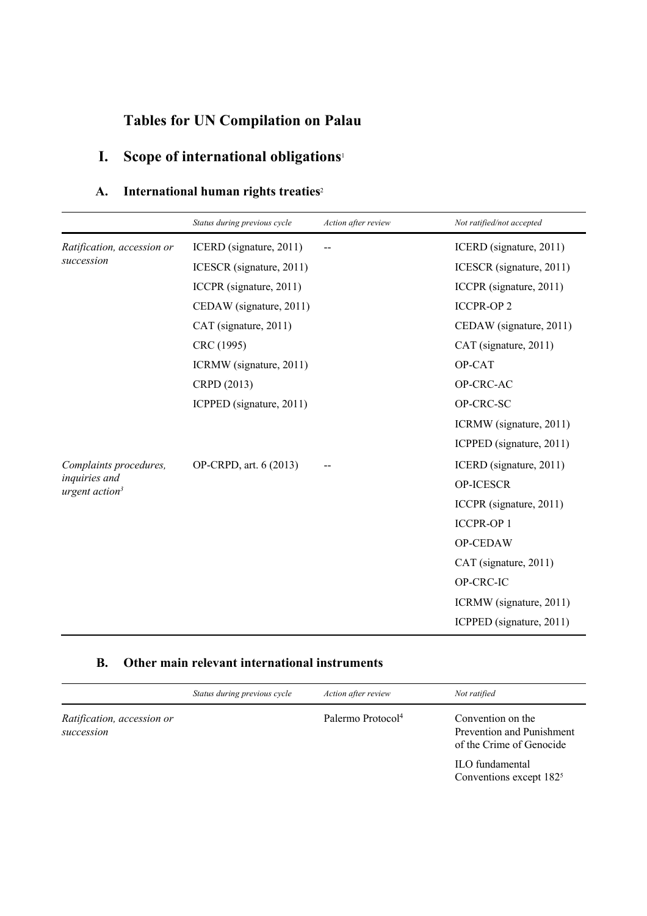# **Tables for UN Compilation on Palau**

# **I. Scope of international obligations**<sup>1</sup>

## **A. International human rights treaties**<sup>2</sup>

|                                             | Status during previous cycle | Action after review | Not ratified/not accepted |
|---------------------------------------------|------------------------------|---------------------|---------------------------|
| Ratification, accession or                  | ICERD (signature, 2011)      |                     | ICERD (signature, 2011)   |
| succession                                  | ICESCR (signature, 2011)     |                     | ICESCR (signature, 2011)  |
|                                             | ICCPR (signature, 2011)      |                     | ICCPR (signature, 2011)   |
|                                             | CEDAW (signature, 2011)      |                     | <b>ICCPR-OP2</b>          |
|                                             | CAT (signature, 2011)        |                     | CEDAW (signature, 2011)   |
|                                             | CRC (1995)                   |                     | CAT (signature, 2011)     |
|                                             | ICRMW (signature, 2011)      |                     | OP-CAT                    |
|                                             | CRPD (2013)                  |                     | OP-CRC-AC                 |
|                                             | ICPPED (signature, 2011)     |                     | OP-CRC-SC                 |
|                                             |                              |                     | ICRMW (signature, 2011)   |
|                                             |                              |                     | ICPPED (signature, 2011)  |
| Complaints procedures,                      | OP-CRPD, art. 6 (2013)       |                     | ICERD (signature, 2011)   |
| inquiries and<br>urgent action <sup>3</sup> |                              |                     | OP-ICESCR                 |
|                                             |                              |                     | ICCPR (signature, 2011)   |
|                                             |                              |                     | <b>ICCPR-OP1</b>          |
|                                             |                              |                     | OP-CEDAW                  |
|                                             |                              |                     | CAT (signature, 2011)     |
|                                             |                              |                     | OP-CRC-IC                 |
|                                             |                              |                     | ICRMW (signature, 2011)   |
|                                             |                              |                     | ICPPED (signature, 2011)  |

### **B. Other main relevant international instruments**

|                                          | Status during previous cycle | Action after review           | Not ratified                                                               |
|------------------------------------------|------------------------------|-------------------------------|----------------------------------------------------------------------------|
| Ratification, accession or<br>succession |                              | Palermo Protocol <sup>4</sup> | Convention on the<br>Prevention and Punishment<br>of the Crime of Genocide |
|                                          |                              |                               | ILO fundamental<br>Conventions except 182 <sup>5</sup>                     |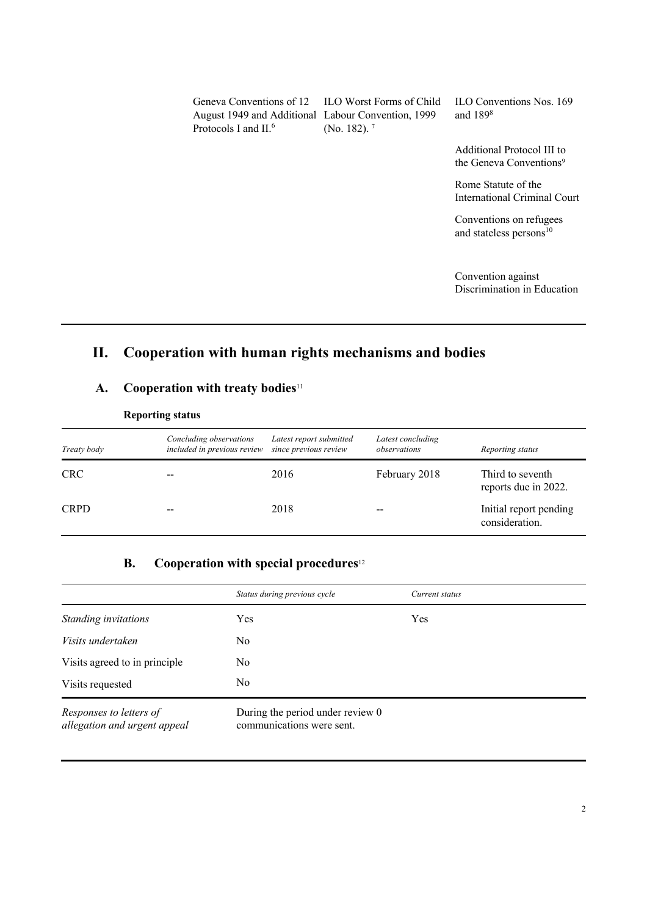Geneva Conventions of 12 ILO Worst Forms of Child August 1949 and Additional Labour Convention, 1999 Protocols I and II.<sup>6</sup>

(No. 182). 7

ILO Conventions Nos. 169 and 1898

Additional Protocol III to the Geneva Conventions<sup>9</sup>

Rome Statute of the International Criminal Court

Conventions on refugees and stateless persons<sup>10</sup>

Convention against Discrimination in Education

## **II. Cooperation with human rights mechanisms and bodies**

### **A. Cooperation with treaty bodies**<sup>11</sup>

| Treaty body | Concluding observations<br>included in previous review since previous review | Latest report submitted | Latest concluding<br>observations | Reporting status                         |
|-------------|------------------------------------------------------------------------------|-------------------------|-----------------------------------|------------------------------------------|
| <b>CRC</b>  |                                                                              | 2016                    | February 2018                     | Third to seventh<br>reports due in 2022. |
| <b>CRPD</b> |                                                                              | 2018                    |                                   | Initial report pending<br>consideration. |

#### **Reporting status**

### **B. Cooperation with special procedures**<sup>12</sup>

|                                                         | Status during previous cycle                                  | Current status |
|---------------------------------------------------------|---------------------------------------------------------------|----------------|
| Standing invitations                                    | Yes                                                           | Yes            |
| Visits undertaken                                       | No                                                            |                |
| Visits agreed to in principle                           | No                                                            |                |
| Visits requested                                        | No                                                            |                |
| Responses to letters of<br>allegation and urgent appeal | During the period under review 0<br>communications were sent. |                |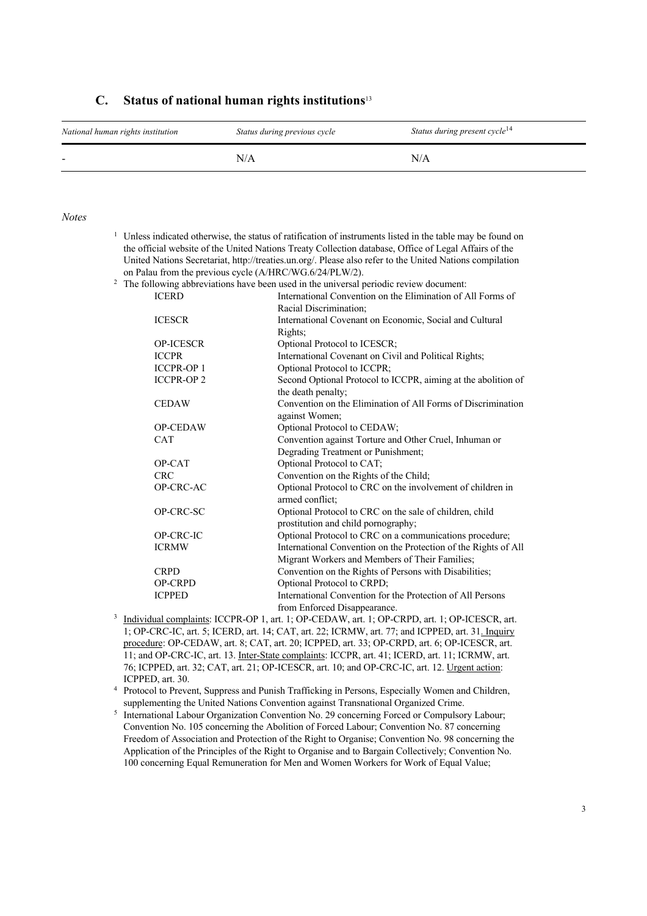| National human rights institution | Status during previous cycle | Status during present cycle <sup>14</sup> |
|-----------------------------------|------------------------------|-------------------------------------------|
| -                                 | N/A                          | N/A                                       |

#### **C. Status of national human rights institutions**<sup>13</sup>

#### *Notes*

| $\frac{1}{1}$ Unless indicated otherwise, the status of ratification of instruments listed in the table may be found on                                                                                                       |
|-------------------------------------------------------------------------------------------------------------------------------------------------------------------------------------------------------------------------------|
| the official website of the United Nations Treaty Collection database, Office of Legal Affairs of the                                                                                                                         |
| United Nations Secretariat, http://treaties.un.org/. Please also refer to the United Nations compilation                                                                                                                      |
| on Palau from the previous cycle (A/HRC/WG.6/24/PLW/2).                                                                                                                                                                       |
| $2$ and $2$ at $1$ and $1$ and $1$ and $1$ and $1$ and $1$ and $1$ and $1$ and $1$ and $1$ and $1$ and $1$ and $1$ and $1$ and $1$ and $1$ and $1$ and $1$ and $1$ and $1$ and $1$ and $1$ and $1$ and $1$ and $1$ and $1$ an |

| The following abbreviations have been used in the universal periodic review document: |                                                                 |
|---------------------------------------------------------------------------------------|-----------------------------------------------------------------|
| <b>ICERD</b>                                                                          | International Convention on the Elimination of All Forms of     |
|                                                                                       | Racial Discrimination;                                          |
| <b>ICESCR</b>                                                                         | International Covenant on Economic, Social and Cultural         |
|                                                                                       | Rights;                                                         |
| <b>OP-ICESCR</b>                                                                      | Optional Protocol to ICESCR;                                    |
| <b>ICCPR</b>                                                                          | International Covenant on Civil and Political Rights;           |
| <b>ICCPR-OP1</b>                                                                      | Optional Protocol to ICCPR;                                     |
| <b>ICCPR-OP2</b>                                                                      | Second Optional Protocol to ICCPR, aiming at the abolition of   |
|                                                                                       | the death penalty;                                              |
| <b>CEDAW</b>                                                                          | Convention on the Elimination of All Forms of Discrimination    |
|                                                                                       | against Women;                                                  |
| <b>OP-CEDAW</b>                                                                       | Optional Protocol to CEDAW;                                     |
| <b>CAT</b>                                                                            | Convention against Torture and Other Cruel, Inhuman or          |
|                                                                                       | Degrading Treatment or Punishment;                              |
| OP-CAT                                                                                | Optional Protocol to CAT;                                       |
| <b>CRC</b>                                                                            | Convention on the Rights of the Child;                          |
| OP-CRC-AC                                                                             | Optional Protocol to CRC on the involvement of children in      |
|                                                                                       | armed conflict;                                                 |
| OP-CRC-SC                                                                             | Optional Protocol to CRC on the sale of children, child         |
|                                                                                       | prostitution and child pornography;                             |
| OP-CRC-IC                                                                             | Optional Protocol to CRC on a communications procedure;         |
| <b>ICRMW</b>                                                                          | International Convention on the Protection of the Rights of All |
|                                                                                       | Migrant Workers and Members of Their Families;                  |
| <b>CRPD</b>                                                                           | Convention on the Rights of Persons with Disabilities;          |
| <b>OP-CRPD</b>                                                                        | Optional Protocol to CRPD;                                      |
| <b>ICPPED</b>                                                                         | International Convention for the Protection of All Persons      |
|                                                                                       | from Enforced Disappearance.                                    |

- <sup>3</sup> Individual complaints: ICCPR-OP 1, art. 1; OP-CEDAW, art. 1; OP-CRPD, art. 1; OP-ICESCR, art. 1; OP-CRC-IC, art. 5; ICERD, art. 14; CAT, art. 22; ICRMW, art. 77; and ICPPED, art. 31. Inquiry procedure: OP-CEDAW, art. 8; CAT, art. 20; ICPPED, art. 33; OP-CRPD, art. 6; OP-ICESCR, art. 11; and OP-CRC-IC, art. 13. Inter-State complaints: ICCPR, art. 41; ICERD, art. 11; ICRMW, art. 76; ICPPED, art. 32; CAT, art. 21; OP-ICESCR, art. 10; and OP-CRC-IC, art. 12. Urgent action: ICPPED, art. 30.
- <sup>4</sup> Protocol to Prevent, Suppress and Punish Trafficking in Persons, Especially Women and Children, supplementing the United Nations Convention against Transnational Organized Crime.
- <sup>5</sup> International Labour Organization Convention No. 29 concerning Forced or Compulsory Labour; Convention No. 105 concerning the Abolition of Forced Labour; Convention No. 87 concerning Freedom of Association and Protection of the Right to Organise; Convention No. 98 concerning the Application of the Principles of the Right to Organise and to Bargain Collectively; Convention No. 100 concerning Equal Remuneration for Men and Women Workers for Work of Equal Value;